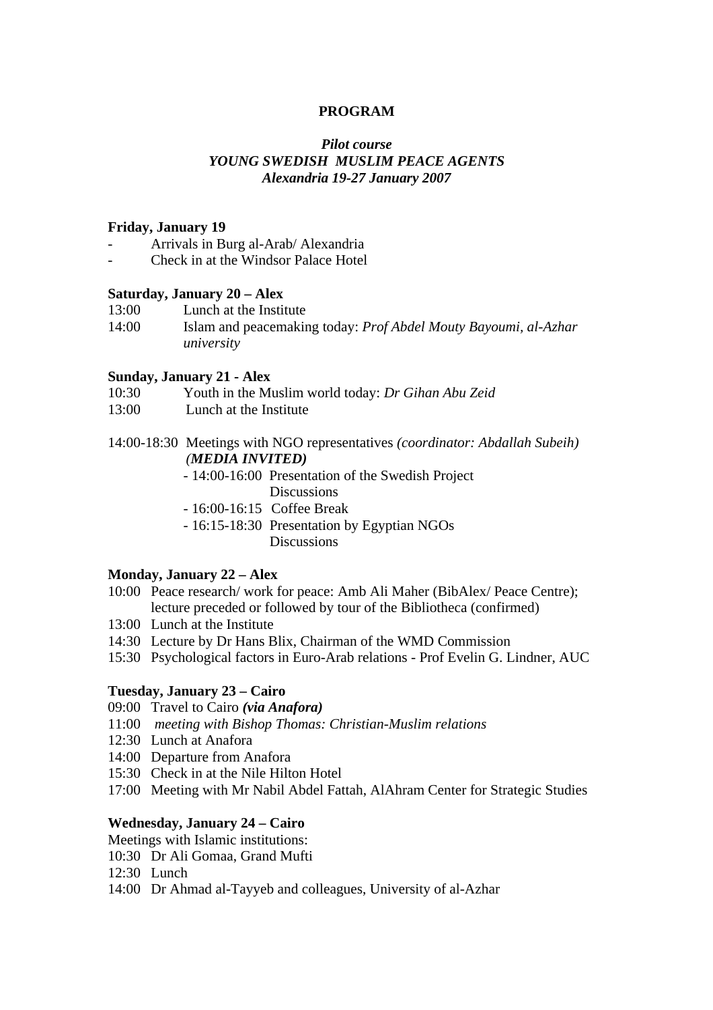#### **PROGRAM**

## *Pilot course YOUNG SWEDISH MUSLIM PEACE AGENTS Alexandria 19-27 January 2007*

#### **Friday, January 19**

- Arrivals in Burg al-Arab/ Alexandria
- Check in at the Windsor Palace Hotel

#### **Saturday, January 20 – Alex**

| 13:00 | Lunch at the Institute                                                 |
|-------|------------------------------------------------------------------------|
| 14:00 | Islam and peacemaking today: <i>Prof Abdel Mouty Bayoumi, al-Azhar</i> |
|       | university                                                             |

#### **Sunday, January 21 - Alex**

- 10:30 Youth in the Muslim world today: *Dr Gihan Abu Zeid*
- 13:00 Lunch at the Institute
- 14:00-18:30 Meetings with NGO representatives *(coordinator: Abdallah Subeih) (MEDIA INVITED)* 
	- 14:00-16:00 Presentation of the Swedish Project **Discussions**
	- 16:00-16:15 Coffee Break
	- 16:15-18:30 Presentation by Egyptian NGOs Discussions

#### **Monday, January 22 – Alex**

- 10:00 Peace research/ work for peace: Amb Ali Maher (BibAlex/ Peace Centre); lecture preceded or followed by tour of the Bibliotheca (confirmed)
- 13:00 Lunch at the Institute
- 14:30 Lecture by Dr Hans Blix, Chairman of the WMD Commission
- 15:30 Psychological factors in Euro-Arab relations Prof Evelin G. Lindner, AUC

#### **Tuesday, January 23 – Cairo**

- 09:00 Travel to Cairo *(via Anafora)*
- 11:00 *meeting with Bishop Thomas: Christian-Muslim relations*
- 12:30 Lunch at Anafora
- 14:00 Departure from Anafora
- 15:30 Check in at the Nile Hilton Hotel
- 17:00 Meeting with Mr Nabil Abdel Fattah, AlAhram Center for Strategic Studies

#### **Wednesday, January 24 – Cairo**

- Meetings with Islamic institutions:
- 10:30 Dr Ali Gomaa, Grand Mufti
- 12:30 Lunch
- 14:00 Dr Ahmad al-Tayyeb and colleagues, University of al-Azhar